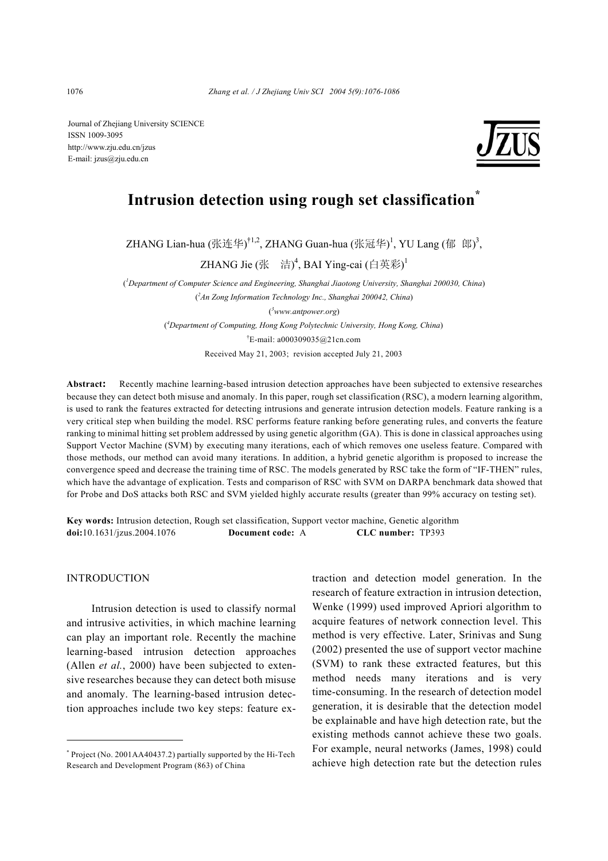Journal of Zhejiang University SCIENCE ISSN 1009-3095 http://www.zju.edu.cn/jzus E-mail: jzus@zju.edu.cn



# **Intrusion detection using rough set classification\***

ZHANG Lian-hua (张连华)<sup>†1,2</sup>, ZHANG Guan-hua (张冠华)<sup>1</sup>, YU Lang (郁 郎)<sup>3</sup>,

ZHANG Jie (张 洁)<sup>4</sup>, BAI Ying-cai (白英彩)<sup>1</sup>

( *1 Department of Computer Science and Engineering, Shanghai Jiaotong University, Shanghai 200030, China*)

( *2 An Zong Information Technology Inc., Shanghai 200042, China*)

( *3 www.antpower.org*)

( *4 Department of Computing, Hong Kong Polytechnic University, Hong Kong, China*)

† E-mail: a000309035@21cn.com

Received May 21, 2003; revision accepted July 21, 2003

**Abstract:** Recently machine learning-based intrusion detection approaches have been subjected to extensive researches because they can detect both misuse and anomaly. In this paper, rough set classification (RSC), a modern learning algorithm, is used to rank the features extracted for detecting intrusions and generate intrusion detection models. Feature ranking is a very critical step when building the model. RSC performs feature ranking before generating rules, and converts the feature ranking to minimal hitting set problem addressed by using genetic algorithm (GA). This is done in classical approaches using Support Vector Machine (SVM) by executing many iterations, each of which removes one useless feature. Compared with those methods, our method can avoid many iterations. In addition, a hybrid genetic algorithm is proposed to increase the convergence speed and decrease the training time of RSC. The models generated by RSC take the form of "IF-THEN" rules, which have the advantage of explication. Tests and comparison of RSC with SVM on DARPA benchmark data showed that for Probe and DoS attacks both RSC and SVM yielded highly accurate results (greater than 99% accuracy on testing set).

**Key words:** Intrusion detection, Rough set classification, Support vector machine, Genetic algorithm **doi:**10.1631/jzus.2004.1076 **Document code:** A **CLC number:** TP393

# **INTRODUCTION**

Intrusion detection is used to classify normal and intrusive activities, in which machine learning can play an important role. Recently the machine learning-based intrusion detection approaches (Allen *et al.*, 2000) have been subjected to extensive researches because they can detect both misuse and anomaly. The learning-based intrusion detection approaches include two key steps: feature extraction and detection model generation. In the research of feature extraction in intrusion detection, Wenke (1999) used improved Apriori algorithm to acquire features of network connection level. This method is very effective. Later, Srinivas and Sung (2002) presented the use of support vector machine (SVM) to rank these extracted features, but this method needs many iterations and is very time-consuming. In the research of detection model generation, it is desirable that the detection model be explainable and have high detection rate, but the existing methods cannot achieve these two goals. For example, neural networks (James, 1998) could achieve high detection rate but the detection rules

<sup>\*</sup> Project (No. 2001AA40437.2) partially supported by the Hi-Tech Research and Development Program (863) of China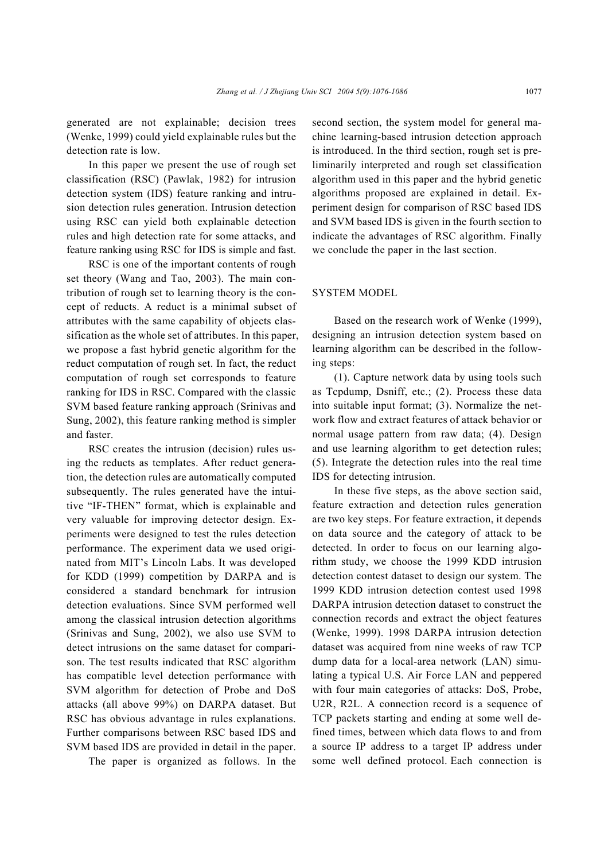generated are not explainable; decision trees (Wenke, 1999) could yield explainable rules but the detection rate is low.

In this paper we present the use of rough set classification (RSC) (Pawlak, 1982) for intrusion detection system (IDS) feature ranking and intrusion detection rules generation. Intrusion detection using RSC can yield both explainable detection rules and high detection rate for some attacks, and feature ranking using RSC for IDS is simple and fast.

RSC is one of the important contents of rough set theory (Wang and Tao, 2003). The main contribution of rough set to learning theory is the concept of reducts. A reduct is a minimal subset of attributes with the same capability of objects classification as the whole set of attributes. In this paper, we propose a fast hybrid genetic algorithm for the reduct computation of rough set. In fact, the reduct computation of rough set corresponds to feature ranking for IDS in RSC. Compared with the classic SVM based feature ranking approach (Srinivas and Sung, 2002), this feature ranking method is simpler and faster.

RSC creates the intrusion (decision) rules using the reducts as templates. After reduct generation, the detection rules are automatically computed subsequently. The rules generated have the intuitive "IF-THEN" format, which is explainable and very valuable for improving detector design. Experiments were designed to test the rules detection performance. The experiment data we used originated from MIT's Lincoln Labs. It was developed for KDD (1999) competition by DARPA and is considered a standard benchmark for intrusion detection evaluations. Since SVM performed well among the classical intrusion detection algorithms (Srinivas and Sung, 2002), we also use SVM to detect intrusions on the same dataset for comparison. The test results indicated that RSC algorithm has compatible level detection performance with SVM algorithm for detection of Probe and DoS attacks (all above 99%) on DARPA dataset. But RSC has obvious advantage in rules explanations. Further comparisons between RSC based IDS and SVM based IDS are provided in detail in the paper.

The paper is organized as follows. In the

second section, the system model for general machine learning-based intrusion detection approach is introduced. In the third section, rough set is preliminarily interpreted and rough set classification algorithm used in this paper and the hybrid genetic algorithms proposed are explained in detail. Experiment design for comparison of RSC based IDS and SVM based IDS is given in the fourth section to indicate the advantages of RSC algorithm. Finally we conclude the paper in the last section.

#### SYSTEM MODEL

Based on the research work of Wenke (1999), designing an intrusion detection system based on learning algorithm can be described in the following steps:

(1). Capture network data by using tools such as Tcpdump, Dsniff, etc.; (2). Process these data into suitable input format; (3). Normalize the network flow and extract features of attack behavior or normal usage pattern from raw data; (4). Design and use learning algorithm to get detection rules; (5). Integrate the detection rules into the real time IDS for detecting intrusion.

In these five steps, as the above section said, feature extraction and detection rules generation are two key steps. For feature extraction, it depends on data source and the category of attack to be detected. In order to focus on our learning algorithm study, we choose the 1999 KDD intrusion detection contest dataset to design our system. The 1999 KDD intrusion detection contest used 1998 DARPA intrusion detection dataset to construct the connection records and extract the object features (Wenke, 1999). 1998 DARPA intrusion detection dataset was acquired from nine weeks of raw TCP dump data for a local-area network (LAN) simulating a typical U.S. Air Force LAN and peppered with four main categories of attacks: DoS, Probe, U2R, R2L. A connection record is a sequence of TCP packets starting and ending at some well defined times, between which data flows to and from a source IP address to a target IP address under some well defined protocol. Each connection is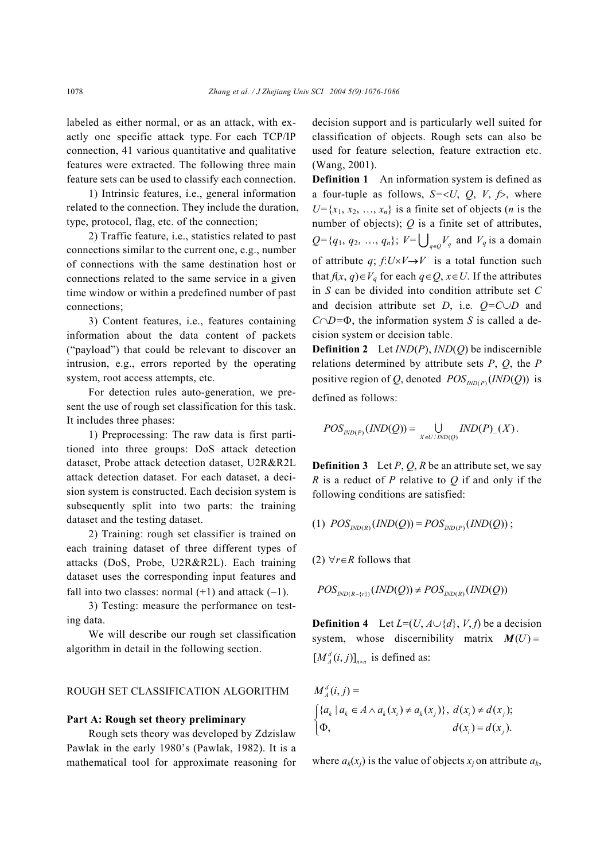labeled as either normal, or as an attack, with exactly one specific attack type. For each TCP/IP connection, 41 various quantitative and qualitative features were extracted. The following three main feature sets can be used to classify each connection.

1) Intrinsic features, i.e., general information related to the connection. They include the duration, type, protocol, flag, etc. of the connection;

2) Traffic feature, i.e., statistics related to past connections similar to the current one, e.g., number of connections with the same destination host or connections related to the same service in a given time window or within a predefined number of past connections;

3) Content features, i.e., features containing information about the data content of packets ("payload") that could be relevant to discover an intrusion, e.g., errors reported by the operating system, root access attempts, etc.

For detection rules auto-generation, we present the use of rough set classification for this task. It includes three phases:

1) Preprocessing: The raw data is first partitioned into three groups: DoS attack detection dataset, Probe attack detection dataset, U2R&R2L attack detection dataset. For each dataset, a decision system is constructed. Each decision system is subsequently split into two parts: the training dataset and the testing dataset.

2) Training: rough set classifier is trained on each training dataset of three different types of attacks (DoS, Probe, U2R&R2L). Each training dataset uses the corresponding input features and fall into two classes: normal  $(+1)$  and attack  $(-1)$ .

3) Testing: measure the performance on testing data.

We will describe our rough set classification algorithm in detail in the following section.

## ROUGH SET CLASSIFICATION ALGORITHM

#### **Part A: Rough set theory preliminary**

Rough sets theory was developed by Zdzislaw Pawlak in the early 1980's (Pawlak, 1982). It is a mathematical tool for approximate reasoning for decision support and is particularly well suited for classification of objects. Rough sets can also be used for feature selection, feature extraction etc. (Wang, 2001).

**Definition 1** An information system is defined as a four-tuple as follows,  $S = *U*, *Q*, *V*, *f*>, where$  $U = \{x_1, x_2, \ldots, x_n\}$  is a finite set of objects (*n* is the number of objects); *Q* is a finite set of attributes,  $Q = \{q_1, q_2, ..., q_n\};$  *V*= $\bigcup_{q \in Q} V_q$  and  $V_q$  is a domain of attribute  $q$ ;  $f: U \times V \rightarrow V$  is a total function such that *f*(*x*, *q*)∈*V<sub>q</sub>* for each *q*∈*Q*, *x*∈*U*. If the attributes in *S* can be divided into condition attribute set *C* and decision attribute set *D*, i.e*. Q=C*∪*D* and *C*∩*D=*Φ, the information system *S* is called a decision system or decision table.

**Definition 2** Let *IND*(*P*), *IND*(*Q*) be indiscernible relations determined by attribute sets *P*, *Q*, the *P* positive region of *Q*, denoted  $POS_{NDP}(IND(Q))$  is defined as follows:

$$
POS_{IND(P)}(IND(Q))=\bigcup_{X\in U/IND(Q)}IND(P)_{-}(X).
$$

**Definition 3** Let *P*, *Q*, *R* be an attribute set, we say *R* is a reduct of *P* relative to *Q* if and only if the following conditions are satisfied:

$$
(1) POS_{IND(R)}(IND(Q)) = POS_{IND(P)}(IND(Q))
$$
;

(2) ∀*r*∈*R* follows that

$$
POS_{IND(R-\{r\})}(IND(Q)) \neq POS_{IND(R)}(IND(Q))
$$

**Definition 4** Let  $L=(U, A\cup\{d\}, V, f)$  be a decision system, whose discernibility matrix  $M(U)$  =  $[M_{\mu}^{d}(i, j)]_{n\times n}$  is defined as:

$$
M_A^d(i, j) =
$$
  
\n
$$
\begin{cases}\n\{a_k \mid a_k \in A \land a_k(x_i) \neq a_k(x_j)\}, \ d(x_i) \neq d(x_j); \\
\Phi, \qquad d(x_i) = d(x_j).\n\end{cases}
$$

where  $a_k(x_j)$  is the value of objects  $x_j$  on attribute  $a_k$ ,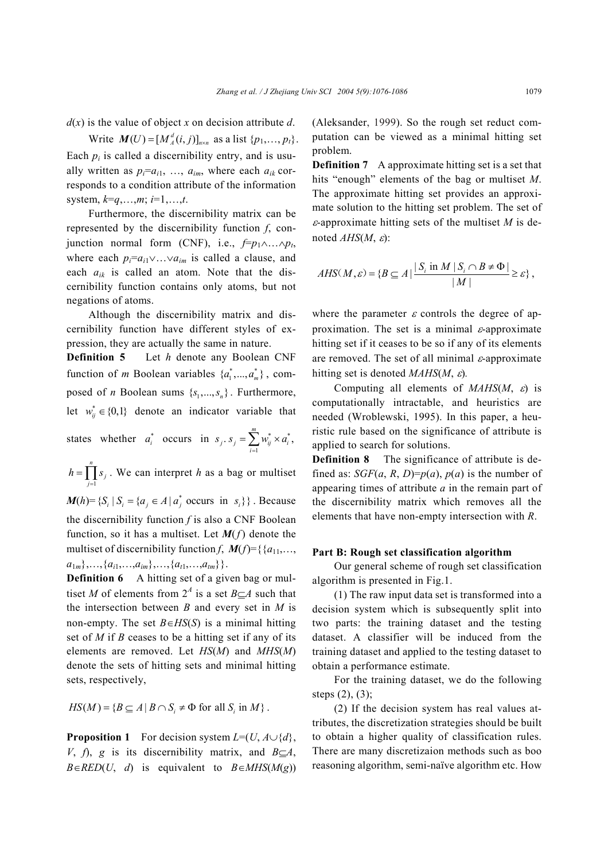$d(x)$  is the value of object *x* on decision attribute *d*.

Write  $M(U) = [ M_A^d(i, j) ]_{n \times n}$  as a list  $\{p_1, ..., p_t\}.$ Each  $p_i$  is called a discernibility entry, and is usually written as  $p_i = a_{i1}, \ldots, a_{im}$ , where each  $a_{ik}$  corresponds to a condition attribute of the information system, *k*=*q*,…,*m*; *i*=1,…,*t*.

Furthermore, the discernibility matrix can be represented by the discernibility function *f*, conjunction normal form (CNF), i.e.,  $f=p_1 \wedge ... \wedge p_t$ , where each *pi*=*ai*1∨…∨*aim* is called a clause, and each *aik* is called an atom. Note that the discernibility function contains only atoms, but not negations of atoms.

Although the discernibility matrix and discernibility function have different styles of expression, they are actually the same in nature.

**Definition 5** Let *h* denote any Boolean CNF function of *m* Boolean variables  $\{a_1^*,..., a_m^*\}$ , composed of *n* Boolean sums  $\{s_1, \ldots, s_n\}$ . Furthermore, let  $w_{ii}^* \in \{0,1\}$  denote an indicator variable that

states whether  $a_i^*$  occurs in  $s_j$ .  $s_j = \sum_{i=1}^j w_{ij}^* \times a_i^*$  $S_i = \sum_{i=1}^{m} w_{ii}^* \times a_i^*$  $j \cdot S_j - \sum_{i=1}^{N_{ij}} w_{ij} \wedge u_i$  $s_i$ .  $s_j = \sum w_{ii}^* \times a$  $=\sum_{i=1}^{\infty}w_{ij}^*\times$ 

1 *n*  $h = \prod s_j$ . We can interpret *h* as a bag or multiset *j* =

 $M(h) = \{ S_i \mid S_i = \{ a_i \in A \mid a_i^* \text{ occurs in } s_i \} \}.$  Because the discernibility function *f* is also a CNF Boolean function, so it has a multiset. Let  $M(f)$  denote the multiset of discernibility function *f*,  $M(f) = \{ \{a_{11}, \ldots, a_{n} \}$ *a*1*m*},…,{*ai*1,…,*aim*},…,{*at*1,…,*atm*}}.

**Definition 6** A hitting set of a given bag or multiset *M* of elements from  $2^A$  is a set *B*⊆*A* such that the intersection between *B* and every set in *M* is non-empty. The set  $B \in HS(S)$  is a minimal hitting set of *M* if *B* ceases to be a hitting set if any of its elements are removed. Let *HS*(*M*) and *MHS*(*M*) denote the sets of hitting sets and minimal hitting sets, respectively,

 $HS(M) = {B \subseteq A | B \cap S_i \neq \Phi \text{ for all } S_i \text{ in } M}.$ 

**Proposition 1** For decision system  $L=(U, A\cup\{d\})$ , *V*, *f*), *g* is its discernibility matrix, and *B*⊆*A*, *B*∈*RED*(*U*, *d*) is equivalent to *B*∈*MHS*(*M*(*g*)) (Aleksander, 1999). So the rough set reduct computation can be viewed as a minimal hitting set problem.

**Definition 7** A approximate hitting set is a set that hits "enough" elements of the bag or multiset *M*. The approximate hitting set provides an approximate solution to the hitting set problem. The set of ε-approximate hitting sets of the multiset *M* is denoted  $AHS(M, \varepsilon)$ :

$$
AHS(M,\varepsilon) = \{ B \subseteq A \mid \frac{|S_i \text{ in } M \mid S_i \cap B \neq \Phi|}{|M|} \ge \varepsilon \},
$$

where the parameter  $\varepsilon$  controls the degree of approximation. The set is a minimal  $\varepsilon$ -approximate hitting set if it ceases to be so if any of its elements are removed. The set of all minimal  $\varepsilon$ -approximate hitting set is denoted *MAHS*(*M*, ε)*.* 

Computing all elements of *MAHS*(*M*, ε) is computationally intractable, and heuristics are needed (Wroblewski, 1995). In this paper, a heuristic rule based on the significance of attribute is applied to search for solutions.

**Definition 8** The significance of attribute is defined as:  $SGF(a, R, D)=p(a), p(a)$  is the number of appearing times of attribute *a* in the remain part of the discernibility matrix which removes all the elements that have non-empty intersection with *R*.

## **Part B: Rough set classification algorithm**

Our general scheme of rough set classification algorithm is presented in Fig.1.

(1) The raw input data set is transformed into a decision system which is subsequently split into two parts: the training dataset and the testing dataset. A classifier will be induced from the training dataset and applied to the testing dataset to obtain a performance estimate.

For the training dataset, we do the following steps (2), (3);

(2) If the decision system has real values attributes, the discretization strategies should be built to obtain a higher quality of classification rules. There are many discretizaion methods such as boo reasoning algorithm, semi-naïve algorithm etc. How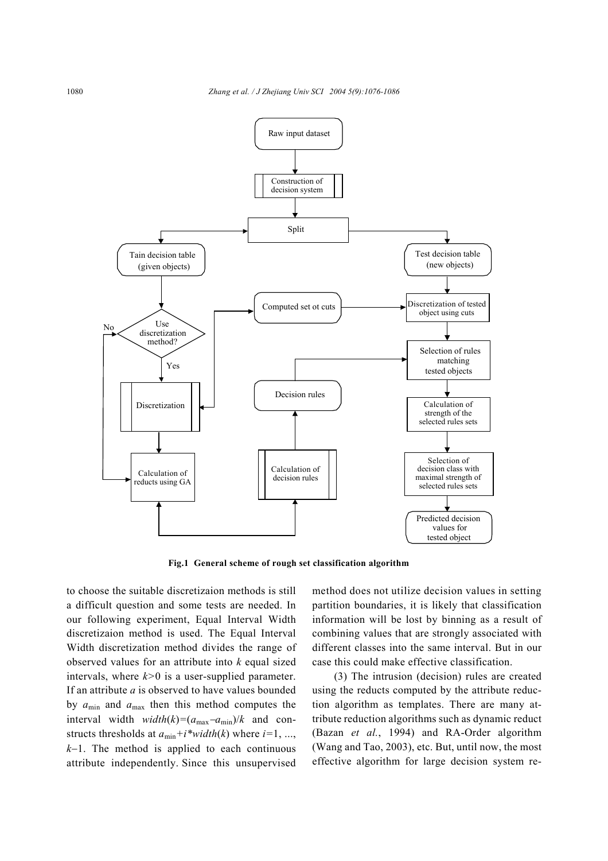

**Fig.1 General scheme of rough set classification algorithm** 

to choose the suitable discretizaion methods is still a difficult question and some tests are needed. In our following experiment, Equal Interval Width discretizaion method is used. The Equal Interval Width discretization method divides the range of observed values for an attribute into *k* equal sized intervals, where *k>*0 is a user-supplied parameter. If an attribute *a* is observed to have values bounded by  $a_{\min}$  and  $a_{\max}$  then this method computes the interval width  $width(k)=(a_{max}-a_{min})/k$  and constructs thresholds at  $a_{\min}+i^*width(k)$  where  $i=1, ...,$ *k*−1. The method is applied to each continuous attribute independently. Since this unsupervised

method does not utilize decision values in setting partition boundaries, it is likely that classification information will be lost by binning as a result of combining values that are strongly associated with different classes into the same interval. But in our case this could make effective classification.

(3) The intrusion (decision) rules are created using the reducts computed by the attribute reduction algorithm as templates. There are many attribute reduction algorithms such as dynamic reduct (Bazan *et al.*, 1994) and RA-Order algorithm (Wang and Tao, 2003), etc. But, until now, the most effective algorithm for large decision system re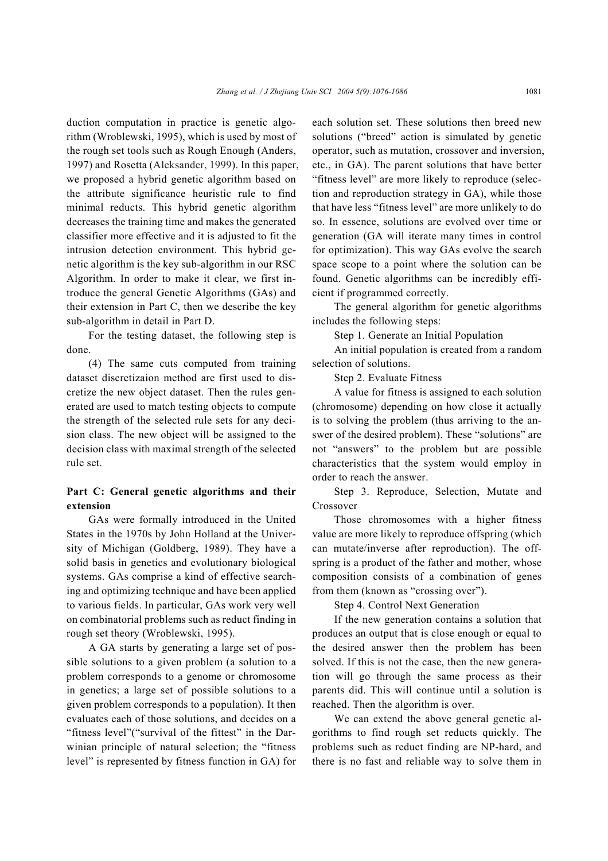duction computation in practice is genetic algorithm (Wroblewski, 1995), which is used by most of the rough set tools such as Rough Enough (Anders, 1997) and Rosetta (Aleksander, 1999). In this paper, we proposed a hybrid genetic algorithm based on the attribute significance heuristic rule to find minimal reducts. This hybrid genetic algorithm decreases the training time and makes the generated classifier more effective and it is adjusted to fit the intrusion detection environment. This hybrid genetic algorithm is the key sub-algorithm in our RSC Algorithm. In order to make it clear, we first introduce the general Genetic Algorithms (GAs) and their extension in Part C, then we describe the key sub-algorithm in detail in Part D.

For the testing dataset, the following step is done.

(4) The same cuts computed from training dataset discretizaion method are first used to discretize the new object dataset. Then the rules generated are used to match testing objects to compute the strength of the selected rule sets for any decision class. The new object will be assigned to the decision class with maximal strength of the selected rule set.

## **Part C: General genetic algorithms and their extension**

GAs were formally introduced in the United States in the 1970s by John Holland at the University of Michigan (Goldberg, 1989). They have a solid basis in genetics and evolutionary biological systems. GAs comprise a kind of effective searching and optimizing technique and have been applied to various fields. In particular, GAs work very well on combinatorial problems such as reduct finding in rough set theory (Wroblewski, 1995).

A GA starts by generating a large set of possible solutions to a given problem (a solution to a problem corresponds to a genome or chromosome in genetics; a large set of possible solutions to a given problem corresponds to a population). It then evaluates each of those solutions, and decides on a "fitness level"("survival of the fittest" in the Darwinian principle of natural selection; the "fitness level" is represented by fitness function in GA) for each solution set. These solutions then breed new solutions ("breed" action is simulated by genetic operator, such as mutation, crossover and inversion, etc., in GA). The parent solutions that have better "fitness level" are more likely to reproduce (selection and reproduction strategy in GA), while those that have less "fitness level" are more unlikely to do so. In essence, solutions are evolved over time or generation (GA will iterate many times in control for optimization). This way GAs evolve the search space scope to a point where the solution can be found. Genetic algorithms can be incredibly efficient if programmed correctly.

The general algorithm for genetic algorithms includes the following steps:

Step 1. Generate an Initial Population

An initial population is created from a random selection of solutions.

Step 2. Evaluate Fitness

A value for fitness is assigned to each solution (chromosome) depending on how close it actually is to solving the problem (thus arriving to the answer of the desired problem). These "solutions" are not "answers" to the problem but are possible characteristics that the system would employ in order to reach the answer.

Step 3. Reproduce, Selection, Mutate and Crossover

Those chromosomes with a higher fitness value are more likely to reproduce offspring (which can mutate/inverse after reproduction). The offspring is a product of the father and mother, whose composition consists of a combination of genes from them (known as "crossing over").

Step 4. Control Next Generation

If the new generation contains a solution that produces an output that is close enough or equal to the desired answer then the problem has been solved. If this is not the case, then the new generation will go through the same process as their parents did. This will continue until a solution is reached. Then the algorithm is over.

We can extend the above general genetic algorithms to find rough set reducts quickly. The problems such as reduct finding are NP-hard, and there is no fast and reliable way to solve them in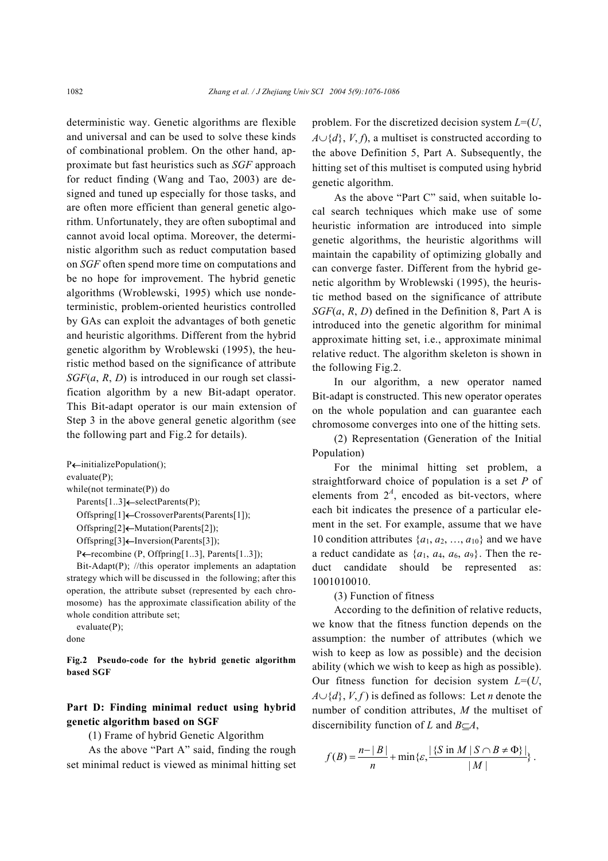deterministic way. Genetic algorithms are flexible and universal and can be used to solve these kinds of combinational problem. On the other hand, approximate but fast heuristics such as *SGF* approach for reduct finding (Wang and Tao, 2003) are designed and tuned up especially for those tasks, and are often more efficient than general genetic algorithm. Unfortunately, they are often suboptimal and cannot avoid local optima. Moreover, the deterministic algorithm such as reduct computation based on *SGF* often spend more time on computations and be no hope for improvement. The hybrid genetic algorithms (Wroblewski, 1995) which use nondeterministic, problem-oriented heuristics controlled by GAs can exploit the advantages of both genetic and heuristic algorithms. Different from the hybrid genetic algorithm by Wroblewski (1995), the heuristic method based on the significance of attribute *SGF*(*a*, *R*, *D*) is introduced in our rough set classification algorithm by a new Bit-adapt operator. This Bit-adapt operator is our main extension of Step 3 in the above general genetic algorithm (see the following part and Fig.2 for details).

P←initializePopulation(); evaluate(P);

while(not terminate(P)) do

Parents[1..3]←selectParents(P);

Offspring[1]←CrossoverParents(Parents[1]);

Offspring[2]←Mutation(Parents[2]);

Offspring[3]←Inversion(Parents[3]);

P←recombine (P, Offpring[1..3], Parents[1..3]);

 Bit-Adapt(P); //this operator implements an adaptation strategy which will be discussed in the following; after this operation, the attribute subset (represented by each chromosome) has the approximate classification ability of the whole condition attribute set;

evaluate(P);

done

**Fig.2 Pseudo-code for the hybrid genetic algorithm based SGF** 

# **Part D: Finding minimal reduct using hybrid genetic algorithm based on SGF**

(1) Frame of hybrid Genetic Algorithm

As the above "Part A" said, finding the rough set minimal reduct is viewed as minimal hitting set problem. For the discretized decision system *L*=(*U*, *A*∪{*d*}, *V*, *f*), a multiset is constructed according to the above Definition 5, Part A. Subsequently, the hitting set of this multiset is computed using hybrid genetic algorithm.

As the above "Part C" said, when suitable local search techniques which make use of some heuristic information are introduced into simple genetic algorithms, the heuristic algorithms will maintain the capability of optimizing globally and can converge faster. Different from the hybrid genetic algorithm by Wroblewski (1995), the heuristic method based on the significance of attribute *SGF*(*a*, *R*, *D*) defined in the Definition 8, Part A is introduced into the genetic algorithm for minimal approximate hitting set, i.e., approximate minimal relative reduct. The algorithm skeleton is shown in the following Fig.2.

In our algorithm, a new operator named Bit-adapt is constructed. This new operator operates on the whole population and can guarantee each chromosome converges into one of the hitting sets.

(2) Representation (Generation of the Initial Population)

For the minimal hitting set problem, a straightforward choice of population is a set *P* of elements from  $2^A$ , encoded as bit-vectors, where each bit indicates the presence of a particular element in the set. For example, assume that we have 10 condition attributes  $\{a_1, a_2, ..., a_{10}\}$  and we have a reduct candidate as  $\{a_1, a_4, a_6, a_9\}$ . Then the reduct candidate should be represented as: 1001010010.

(3) Function of fitness

According to the definition of relative reducts, we know that the fitness function depends on the assumption: the number of attributes (which we wish to keep as low as possible) and the decision ability (which we wish to keep as high as possible). Our fitness function for decision system *L*=(*U*, *A*∪{*d*}, *V*, *f* ) is defined as follows: Let *n* denote the number of condition attributes, *M* the multiset of discernibility function of *L* and *B*⊆*A*,

$$
f(B) = \frac{n-|B|}{n} + \min\{\varepsilon, \frac{|\{S \text{ in } M \mid S \cap B \neq \Phi\}|}{|M|}\}.
$$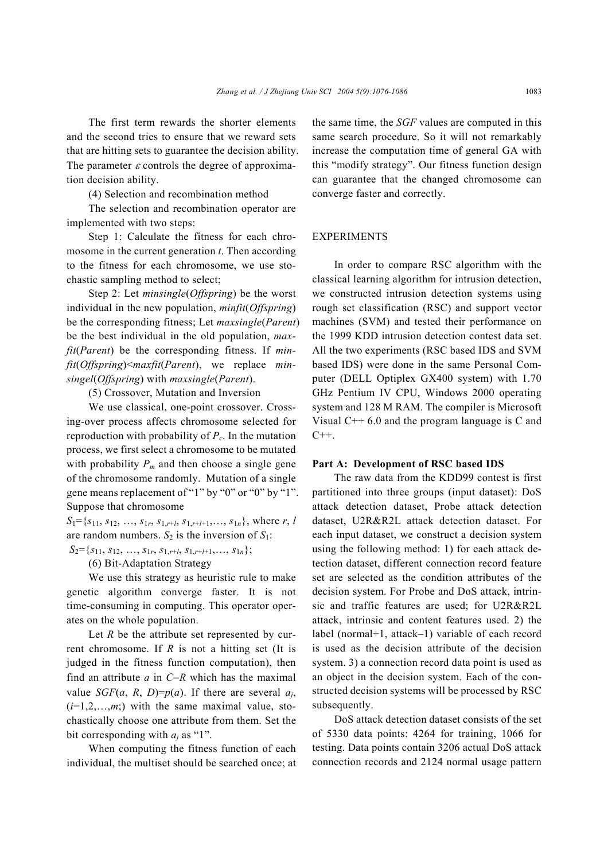The first term rewards the shorter elements and the second tries to ensure that we reward sets that are hitting sets to guarantee the decision ability. The parameter  $\varepsilon$  controls the degree of approximation decision ability.

(4) Selection and recombination method

The selection and recombination operator are implemented with two steps:

Step 1: Calculate the fitness for each chromosome in the current generation *t*. Then according to the fitness for each chromosome, we use stochastic sampling method to select;

Step 2: Let *minsingle*(*Offspring*) be the worst individual in the new population, *minfit*(*Offspring*) be the corresponding fitness; Let *maxsingle*(*Parent*) be the best individual in the old population, *maxfit*(*Parent*) be the corresponding fitness. If *minfit*(*Offspring*)<*maxfit*(*Parent*), we replace *minsingel*(*Offspring*) with *maxsingle*(*Parent*).

(5) Crossover, Mutation and Inversion

We use classical, one-point crossover. Crossing-over process affects chromosome selected for reproduction with probability of  $P_c$ . In the mutation process, we first select a chromosome to be mutated with probability  $P_m$  and then choose a single gene of the chromosome randomly. Mutation of a single gene means replacement of "1" by "0" or "0" by "1". Suppose that chromosome

 $S_1 = \{s_{11}, s_{12}, \ldots, s_{1r}, s_{1,r+l}, s_{1,r+l+1}, \ldots, s_{1n}\}$ , where *r*, *l* are random numbers.  $S_2$  is the inversion of  $S_1$ :

 $S_2 = \{s_{11}, s_{12}, \ldots, s_{1r}, s_{1,r+l}, s_{1,r+l+1}, \ldots, s_{1n}\};$ 

(6) Bit-Adaptation Strategy

We use this strategy as heuristic rule to make genetic algorithm converge faster. It is not time-consuming in computing. This operator operates on the whole population.

Let *R* be the attribute set represented by current chromosome. If *R* is not a hitting set (It is judged in the fitness function computation), then find an attribute *a* in *C*−*R* which has the maximal value *SGF*( $a$ ,  $R$ ,  $D$ )= $p(a)$ . If there are several  $a_i$ ,  $(i=1,2,...,m)$ ; with the same maximal value, stochastically choose one attribute from them. Set the bit corresponding with  $a_i$  as "1".

When computing the fitness function of each individual, the multiset should be searched once; at

the same time, the *SGF* values are computed in this same search procedure. So it will not remarkably increase the computation time of general GA with this "modify strategy". Our fitness function design can guarantee that the changed chromosome can converge faster and correctly.

## EXPERIMENTS

In order to compare RSC algorithm with the classical learning algorithm for intrusion detection, we constructed intrusion detection systems using rough set classification (RSC) and support vector machines (SVM) and tested their performance on the 1999 KDD intrusion detection contest data set. All the two experiments (RSC based IDS and SVM based IDS) were done in the same Personal Computer (DELL Optiplex GX400 system) with 1.70 GHz Pentium IV CPU, Windows 2000 operating system and 128 M RAM. The compiler is Microsoft Visual C++ 6.0 and the program language is C and  $C++$ .

#### **Part A: Development of RSC based IDS**

The raw data from the KDD99 contest is first partitioned into three groups (input dataset): DoS attack detection dataset, Probe attack detection dataset, U2R&R2L attack detection dataset. For each input dataset, we construct a decision system using the following method: 1) for each attack detection dataset, different connection record feature set are selected as the condition attributes of the decision system. For Probe and DoS attack, intrinsic and traffic features are used; for U2R&R2L attack, intrinsic and content features used. 2) the label (normal+1, attack–1) variable of each record is used as the decision attribute of the decision system. 3) a connection record data point is used as an object in the decision system. Each of the constructed decision systems will be processed by RSC subsequently.

DoS attack detection dataset consists of the set of 5330 data points: 4264 for training, 1066 for testing. Data points contain 3206 actual DoS attack connection records and 2124 normal usage pattern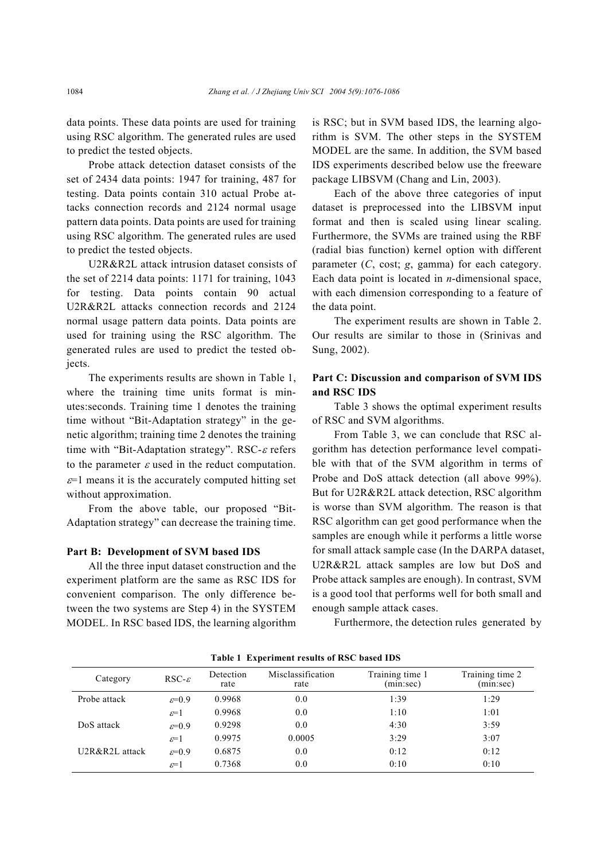data points. These data points are used for training using RSC algorithm. The generated rules are used to predict the tested objects.

Probe attack detection dataset consists of the set of 2434 data points: 1947 for training, 487 for testing. Data points contain 310 actual Probe attacks connection records and 2124 normal usage pattern data points. Data points are used for training using RSC algorithm. The generated rules are used to predict the tested objects.

U2R&R2L attack intrusion dataset consists of the set of 2214 data points: 1171 for training, 1043 for testing. Data points contain 90 actual U2R&R2L attacks connection records and 2124 normal usage pattern data points. Data points are used for training using the RSC algorithm. The generated rules are used to predict the tested objects.

The experiments results are shown in Table 1, where the training time units format is minutes:seconds. Training time 1 denotes the training time without "Bit-Adaptation strategy" in the genetic algorithm; training time 2 denotes the training time with "Bit-Adaptation strategy". RSC- $\varepsilon$  refers to the parameter  $\varepsilon$  used in the reduct computation.  $\varepsilon$ =1 means it is the accurately computed hitting set without approximation.

From the above table, our proposed "Bit-Adaptation strategy" can decrease the training time.

#### **Part B: Development of SVM based IDS**

All the three input dataset construction and the experiment platform are the same as RSC IDS for convenient comparison. The only difference between the two systems are Step 4) in the SYSTEM MODEL. In RSC based IDS, the learning algorithm is RSC; but in SVM based IDS, the learning algorithm is SVM. The other steps in the SYSTEM MODEL are the same. In addition, the SVM based IDS experiments described below use the freeware package LIBSVM (Chang and Lin, 2003).

Each of the above three categories of input dataset is preprocessed into the LIBSVM input format and then is scaled using linear scaling. Furthermore, the SVMs are trained using the RBF (radial bias function) kernel option with different parameter (*C*, cost; *g*, gamma) for each category. Each data point is located in *n*-dimensional space, with each dimension corresponding to a feature of the data point.

The experiment results are shown in Table 2. Our results are similar to those in (Srinivas and Sung, 2002).

# **Part C: Discussion and comparison of SVM IDS and RSC IDS**

Table 3 shows the optimal experiment results of RSC and SVM algorithms.

From Table 3, we can conclude that RSC algorithm has detection performance level compatible with that of the SVM algorithm in terms of Probe and DoS attack detection (all above 99%). But for U2R&R2L attack detection, RSC algorithm is worse than SVM algorithm. The reason is that RSC algorithm can get good performance when the samples are enough while it performs a little worse for small attack sample case (In the DARPA dataset, U2R&R2L attack samples are low but DoS and Probe attack samples are enough). In contrast, SVM is a good tool that performs well for both small and enough sample attack cases.

Furthermore, the detection rules generated by

| Category       | $RSC- \varepsilon$ | Detection<br>rate | Misclassification<br>rate | Training time 1<br>(min:sec) | Training time 2<br>(min:sec) |
|----------------|--------------------|-------------------|---------------------------|------------------------------|------------------------------|
| Probe attack   | $\varepsilon=0.9$  | 0.9968            | 0.0                       | 1:39                         | 1:29                         |
|                | $\varepsilon = 1$  | 0.9968            | 0.0                       | 1:10                         | 1:01                         |
| DoS attack     | $\varepsilon=0.9$  | 0.9298            | 0.0                       | 4:30                         | 3:59                         |
|                | $\varepsilon = 1$  | 0.9975            | 0.0005                    | 3:29                         | 3:07                         |
| U2R&R2L attack | $\varepsilon=0.9$  | 0.6875            | 0.0                       | 0:12                         | 0:12                         |
|                | $\varepsilon = 1$  | 0.7368            | 0.0                       | 0:10                         | 0:10                         |

**Table 1 Experiment results of RSC based IDS**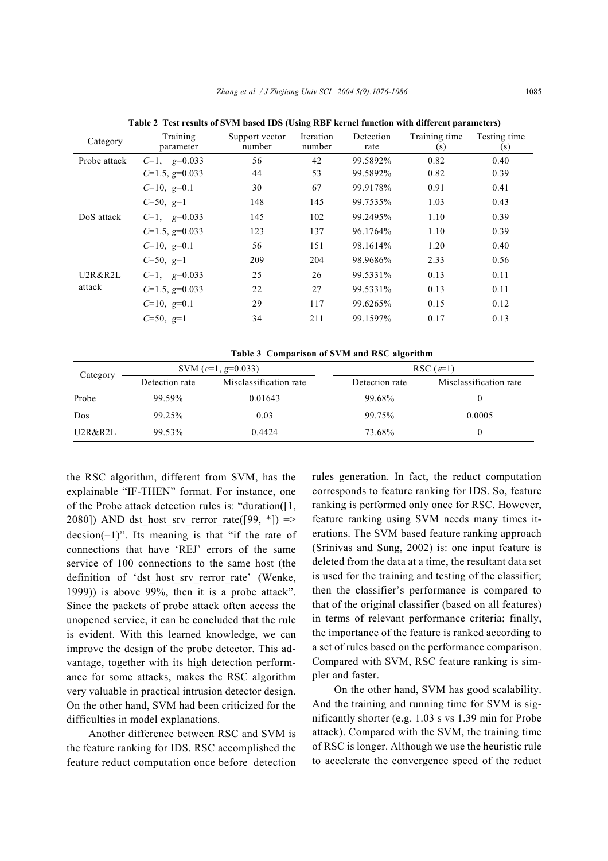| Category     | Training<br>parameter | Support vector<br>number | Iteration<br>number | Detection<br>rate | Training time<br>(s) | Testing time<br>(s) |
|--------------|-----------------------|--------------------------|---------------------|-------------------|----------------------|---------------------|
| Probe attack | $C=1$ , $g=0.033$     | 56                       | 42                  | 99.5892%          | 0.82                 | 0.40                |
|              | $C=1.5$ , $g=0.033$   | 44                       | 53                  | 99.5892%          | 0.82                 | 0.39                |
|              | $C=10, g=0.1$         | 30                       | 67                  | 99.9178%          | 0.91                 | 0.41                |
|              | $C=50, g=1$           | 148                      | 145                 | 99.7535%          | 1.03                 | 0.43                |
| DoS attack   | $C=1$ , $g=0.033$     | 145                      | 102                 | 99.2495%          | 1.10                 | 0.39                |
|              | $C=1.5$ , $g=0.033$   | 123                      | 137                 | 96.1764%          | 1.10                 | 0.39                |
|              | $C=10, g=0.1$         | 56                       | 151                 | 98.1614%          | 1.20                 | 0.40                |
|              | $C=50, g=1$           | 209                      | 204                 | 98.9686%          | 2.33                 | 0.56                |
| U2R&R2L      | $C=1$ , $g=0.033$     | 25                       | 26                  | 99.5331%          | 0.13                 | 0.11                |
| attack       | $C=1.5$ , $g=0.033$   | 22                       | 27                  | 99.5331%          | 0.13                 | 0.11                |
|              | $C=10, g=0.1$         | 29                       | 117                 | 99.6265%          | 0.15                 | 0.12                |
|              | $C=50, g=1$           | 34                       | 211                 | 99.1597%          | 0.17                 | 0.13                |

**Table 2 Test results of SVM based IDS (Using RBF kernel function with different parameters)** 

**Table 3 Comparison of SVM and RSC algorithm** 

| Category |                | SVM $(c=1, g=0.033)$   | RSC $(\varepsilon=1)$ |                        |  |
|----------|----------------|------------------------|-----------------------|------------------------|--|
|          | Detection rate | Misclassification rate | Detection rate        | Misclassification rate |  |
| Probe    | 99.59%         | 0.01643                | 99.68%                | O                      |  |
| Dos      | 99.25%         | 0.03                   | 99.75%                | 0.0005                 |  |
| U2R&R2L  | 99.53%         | 0.4424                 | 73.68%                | 0                      |  |

the RSC algorithm, different from SVM, has the explainable "IF-THEN" format. For instance, one of the Probe attack detection rules is: "duration([1, 2080]) AND dst\_host\_srv\_rerror\_rate( $[99, *]$ ) => decsion(−1)". Its meaning is that "if the rate of connections that have 'REJ' errors of the same service of 100 connections to the same host (the definition of 'dst host srv rerror rate' (Wenke, 1999)) is above 99%, then it is a probe attack". Since the packets of probe attack often access the unopened service, it can be concluded that the rule is evident. With this learned knowledge, we can improve the design of the probe detector. This advantage, together with its high detection performance for some attacks, makes the RSC algorithm very valuable in practical intrusion detector design. On the other hand, SVM had been criticized for the difficulties in model explanations.

Another difference between RSC and SVM is the feature ranking for IDS. RSC accomplished the feature reduct computation once before detection

rules generation. In fact, the reduct computation corresponds to feature ranking for IDS. So, feature ranking is performed only once for RSC. However, feature ranking using SVM needs many times iterations. The SVM based feature ranking approach (Srinivas and Sung, 2002) is: one input feature is deleted from the data at a time, the resultant data set is used for the training and testing of the classifier; then the classifier's performance is compared to that of the original classifier (based on all features) in terms of relevant performance criteria; finally, the importance of the feature is ranked according to a set of rules based on the performance comparison. Compared with SVM, RSC feature ranking is simpler and faster.

On the other hand, SVM has good scalability. And the training and running time for SVM is significantly shorter (e.g. 1.03 s vs 1.39 min for Probe attack). Compared with the SVM, the training time of RSC is longer. Although we use the heuristic rule to accelerate the convergence speed of the reduct